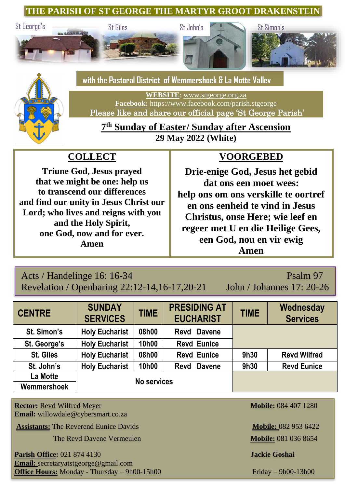**THE PARISH OF ST GEORGE THE MARTYR GROOT DRAKENSTEIN**





# **with the Pastoral District of Wemmershoek & La Motte Valley**

**WEBSITE**: [www.stgeorge.org.za](http://www.stgeorge.org.za/) **Facebook:** <https://www.facebook.com/parish.stgeorge> Please like and share our official page 'St George Parish'

**7 th Sunday of Easter/ Sunday after Ascension 29 May 2022 (White)**

# **COLLECT**

**Triune God, Jesus prayed that we might be one: help us to transcend our differences and find our unity in Jesus Christ our Lord; who lives and reigns with you and the Holy Spirit, one God, now and for ever. Amen**

# **VOORGEBED**

**Drie-enige God, Jesus het gebid dat ons een moet wees: help ons om ons verskille te oortref en ons eenheid te vind in Jesus Christus, onse Here; wie leef en regeer met U en die Heilige Gees, een God, nou en vir ewig Amen**

## Acts / Handelinge 16: 16-34 Psalm 97 Revelation / Openbaring 22:12-14,16-17,20-21 John / Johannes 17: 20-26

| <b>CENTRE</b>    | <b>SUNDAY</b><br><b>SERVICES</b> | <b>TIME</b> | <b>PRESIDING AT</b><br><b>EUCHARIST</b> | <b>TIME</b> | Wednesday<br><b>Services</b> |
|------------------|----------------------------------|-------------|-----------------------------------------|-------------|------------------------------|
| St. Simon's      | <b>Holy Eucharist</b>            | 08h00       | Revd Davene                             |             |                              |
| St. George's     | <b>Holy Eucharist</b>            | 10h00       | <b>Revd Eunice</b>                      |             |                              |
| <b>St. Giles</b> | <b>Holy Eucharist</b>            | 08h00       | <b>Revd Eunice</b>                      | 9h30        | <b>Revd Wilfred</b>          |
| St. John's       | <b>Holy Eucharist</b>            | 10h00       | <b>Davene</b><br>Revd                   | 9h30        | <b>Revd Eunice</b>           |
| La Motte         | No services                      |             |                                         |             |                              |
| Wemmershoek      |                                  |             |                                         |             |                              |

**Rector:** Revd Wilfred Meyer **Mobile:** 084 407 1280 **Email:** willowdale@cybersmart.co.za

**Assistants:** The Reverend Eunice Davids **Mobile:** 082 953 6422

**The Revd Davene Vermeulen Mobile:** 081 036 8654

**Parish Office:** 021 874 4130 **Jackie Goshai Email:** secretaryatstgeorge@gmail.com **Office Hours:** Monday - Thursday – 9h00-15h00 Friday – 9h00-13h00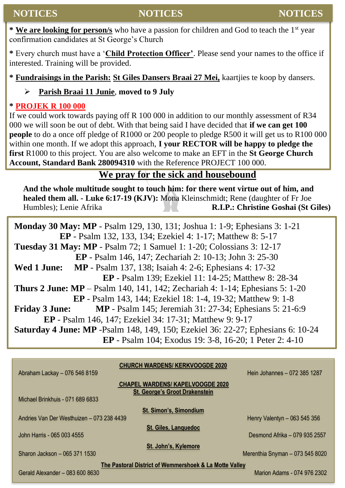**\* We are looking for person/s** who have a passion for children and God to teach the 1st year confirmation candidates at St George's Church

**\*** Every church must have a '**Child Protection Officer'**. Please send your names to the office if interested. Training will be provided.

**\* Fundraisings in the Parish: St Giles Dansers Braai 27 Mei,** kaartjies te koop by dansers.

### ➢ **Parish Braai 11 Junie**, **moved to 9 July**

#### **\* PROJEK R 100 000**

If we could work towards paying off R 100 000 in addition to our monthly assessment of R34 000 we will soon be out of debt. With that being said I have decided that **if we can get 100 people** to do a once off pledge of R1000 or 200 people to pledge R500 it will get us to R100 000 within one month. If we adopt this approach, **I your RECTOR will be happy to pledge the first** R1000 to this project. You are also welcome to make an EFT in the **St George Church Account, Standard Bank 280094310** with the Reference PROJECT 100 000.

## **We pray for the sick and housebound**

**And the whole multitude sought to touch him: for there went virtue out of him, and healed them all. - Luke 6:17-19 (KJV):** Mona Kleinschmidt; Rene (daughter of Fr Joe Humbles); Lenie Afrika **R.I.P.: Christine Goshai (St Giles)**

**Monday 30 May: MP** - Psalm 129, 130, 131; Joshua 1: 1-9; Ephesians 3: 1-21 **EP** - Psalm 132, 133, 134; Ezekiel 4: 1-17; Matthew 8: 5-17 **Tuesday 31 May: MP** - Psalm 72; 1 Samuel 1: 1-20; Colossians 3: 12-17 **EP** - Psalm 146, 147; Zechariah 2: 10-13; John 3: 25-30 **Wed 1 June: MP** - Psalm 137, 138; Isaiah 4: 2-6; Ephesians 4: 17-32 **EP** - Psalm 139; Ezekiel 11: 14-25; Matthew 8: 28-34 **Thurs 2 June: MP** – Psalm 140, 141, 142; Zechariah 4: 1-14; Ephesians 5: 1-20 **EP** - Psalm 143, 144; Ezekiel 18: 1-4, 19-32; Matthew 9: 1-8 **Friday 3 June: MP** - Psalm 145; Jeremiah 31: 27-34; Ephesians 5: 21-6:9 **EP** - Psalm 146, 147; Ezekiel 34: 17-31; Matthew 9: 9-17 **Saturday 4 June: MP** -Psalm 148, 149, 150; Ezekiel 36: 22-27; Ephesians 6: 10-24 **EP** - Psalm 104; Exodus 19: 3-8, 16-20; 1 Peter 2: 4-10

|                                                        | <b>CHURCH WARDENS/ KERKVOOGDE 2020</b>  |                                 |  |  |  |  |
|--------------------------------------------------------|-----------------------------------------|---------------------------------|--|--|--|--|
| Abraham Lackay - 076 546 8159                          |                                         | Hein Johannes - 072 385 1287    |  |  |  |  |
|                                                        | <b>CHAPEL WARDENS/ KAPELVOOGDE 2020</b> |                                 |  |  |  |  |
|                                                        | <b>St. George's Groot Drakenstein</b>   |                                 |  |  |  |  |
| Michael Brinkhuis - 071 689 6833                       |                                         |                                 |  |  |  |  |
|                                                        | <b>St. Simon's, Simondium</b>           |                                 |  |  |  |  |
| Andries Van Der Westhuizen - 073 238 4439              | Henry Valentyn - 063 545 356            |                                 |  |  |  |  |
|                                                        | St. Giles, Languedoc                    |                                 |  |  |  |  |
| John Harris - 065 003 4555                             |                                         | Desmond Afrika - 079 935 2557   |  |  |  |  |
|                                                        | St. John's, Kylemore                    |                                 |  |  |  |  |
| Sharon Jackson – 065 371 1530                          |                                         | Merenthia Snyman - 073 545 8020 |  |  |  |  |
| The Pastoral District of Wemmershoek & La Motte Valley |                                         |                                 |  |  |  |  |
| Gerald Alexander - 083 600 8630                        |                                         | Marion Adams - 074 976 2302     |  |  |  |  |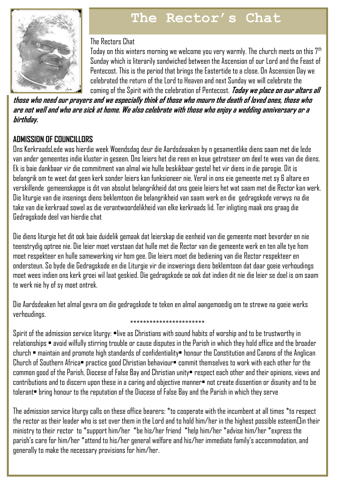

# **The Rector's Chat**

### The Rectors Chat

Today on this winters morning we welcome you very warmly. The church meets on this  $7<sup>th</sup>$ Sunday which is literarily sandwiched between the Ascension of our Lord and the Feast of Pentecost. This is the period that brings the Eastertide to a close. On Ascension Day we celebrated the return of the Lord to Heaven and next Sunday we will celebrate the coming of the Spirit with the celebration of Pentecost. **Today we place on our altars all** 

**those who need our prayers and we especially think of those who mourn the death of loved ones, those who are not well and who are sick at home. We also celebrate with those who enjoy a wedding anniversary or a birthday.**

# **ADMISSION OF COUNCILLORS**

Ons KerkraadsLede was hierdie week Woendsdag deur die Aardsdeaaken by n gesamentlike diens saam met die lede van ander gemeentes indie kluster in geseen. Ons leiers het die reen en koue getrotseer om deel te wees van die diens. Ek is baie dankbaar vir die commitment van almal wie hulle beskikbaar gestel het vir diens in die parogie. Dit is belangrik om te weet dat geen kerk sonder leiers kan funksioneer nie. Veral in ons eie gemeente met sy 6 altare en verskillende gemeenskappe is dit van absolut belangrikheid dat ons goeie leiers het wat saam met die Rector kan werk. Die liturgie van die insenings diens beklemtoon die belangrikheid van saam werk en die gedragskode verwys na die take van die kerkraad sowel as die verantwoordelikheid van elke kerkraads lid. Ter inligting maak ons graag die Gedragskode deel van hierdie chat

Die diens liturgie het dit ook baie duidelik gemaak dat leierskap die eenheid van die gemeente moet bevorder en nie teenstrydig optree nie. Die leier moet verstaan dat hulle met die Rector van die gemeente werk en ten alle tye hom moet respekteer en hulle samewerking vir hom gee. Die leiers moet die bediening van die Rector respekteer en ondersteun. So byde die Gedragskode en die Liturgie vir die inswerings diens beklemtoon dat daar goeie verhoudings moet wees indien ons kerk groei wil laat geskied. Die gedragskode se ook dat indien dit nie die leier se doel is om saam te werk nie hy of sy moet ontrek.

Die Aardsdeaken het almal gevra om die gedragskode te teken en almal aangemoedig om te strewe na goeie werks verhoudings.

# \*\*\*\*\*\*\*\*\*\*\*\*\*\*\*\*\*\*\*\*\*\*\*

Spirit of the admission service liturgy: •live as Christians with sound habits of worship and to be trustworthy in relationships • avoid wilfully stirring trouble or cause disputes in the Parish in which they hold office and the broader church • maintain and promote high standards of confidentiality• honour the Constitution and Canons of the Anglican Church of Southern Africa• practice good Christian behaviour• commit themselves to work with each other for the common good of the Parish, Diocese of False Bay and Christian unity• respect each other and their opinions, views and contributions and to discern upon these in a caring and objective manner• not create dissention or disunity and to be tolerant• bring honour to the reputation of the Diocese of False Bay and the Parish in which they serve

The admission service liturgy calls on these office bearers: \*to cooperate with the incumbent at all times \*to respect the rector as their leader who is set over them in the Lord and to hold him/her in the highest possible esteem  $\Box$ in their ministry to their rector to \*support him/her \*be his/her friend \*help him/her \*advise him/her \*express the parish's care for him/her \*attend to his/her general welfare and his/her immediate family's accommodation, and generally to make the necessary provisions for him/her.